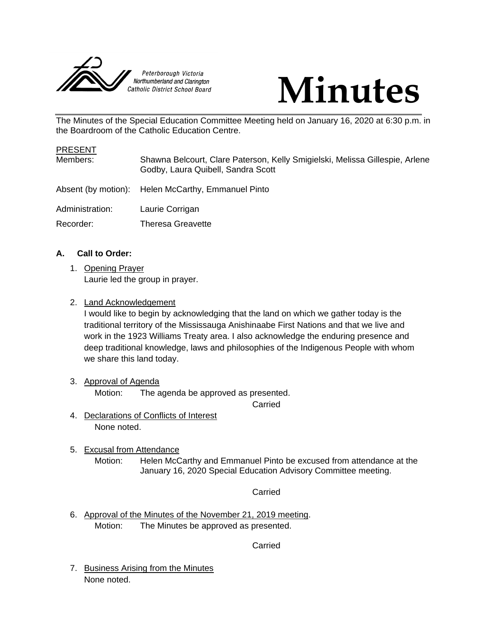



The Minutes of the Special Education Committee Meeting held on January 16, 2020 at 6:30 p.m. in the Boardroom of the Catholic Education Centre.

| <b>PRESENT</b>  |                                                                                                                    |
|-----------------|--------------------------------------------------------------------------------------------------------------------|
| Members:        | Shawna Belcourt, Clare Paterson, Kelly Smigielski, Melissa Gillespie, Arlene<br>Godby, Laura Quibell, Sandra Scott |
|                 | Absent (by motion): Helen McCarthy, Emmanuel Pinto                                                                 |
| Administration: | Laurie Corrigan                                                                                                    |
| Recorder:       | <b>Theresa Greavette</b>                                                                                           |

# **A. Call to Order:**

- 1. Opening Prayer Laurie led the group in prayer.
- 2. Land Acknowledgement

I would like to begin by acknowledging that the land on which we gather today is the traditional territory of the Mississauga Anishinaabe First Nations and that we live and work in the 1923 Williams Treaty area. I also acknowledge the enduring presence and deep traditional knowledge, laws and philosophies of the Indigenous People with whom we share this land today.

3. Approval of Agenda

Motion: The agenda be approved as presented.

Carried

- 4. Declarations of Conflicts of Interest None noted.
- 5. Excusal from Attendance
	- Motion: Helen McCarthy and Emmanuel Pinto be excused from attendance at the January 16, 2020 Special Education Advisory Committee meeting.

Carried

6. Approval of the Minutes of the November 21, 2019 meeting. Motion: The Minutes be approved as presented.

Carried

7. Business Arising from the Minutes None noted.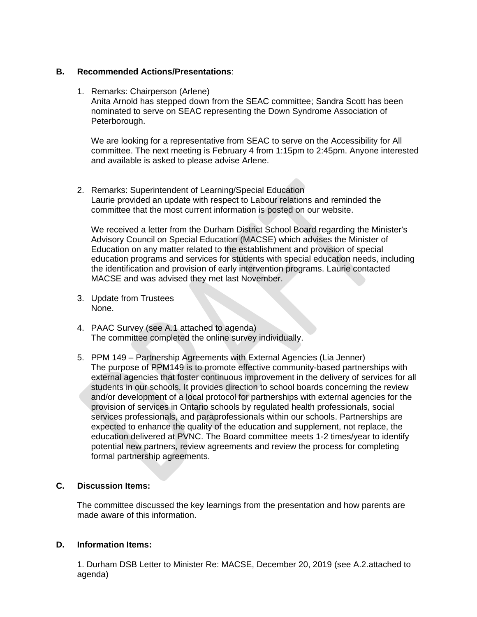#### **B. Recommended Actions/Presentations**:

1. Remarks: Chairperson (Arlene) Anita Arnold has stepped down from the SEAC committee; Sandra Scott has been nominated to serve on SEAC representing the Down Syndrome Association of Peterborough.

We are looking for a representative from SEAC to serve on the Accessibility for All committee. The next meeting is February 4 from 1:15pm to 2:45pm. Anyone interested and available is asked to please advise Arlene.

2. Remarks: Superintendent of Learning/Special Education Laurie provided an update with respect to Labour relations and reminded the committee that the most current information is posted on our website.

We received a letter from the Durham District School Board regarding the Minister's Advisory Council on Special Education (MACSE) which advises the Minister of Education on any matter related to the establishment and provision of special education programs and services for students with special education needs, including the identification and provision of early intervention programs. Laurie contacted MACSE and was advised they met last November.

- 3. Update from Trustees None.
- 4. PAAC Survey (see A.1 attached to agenda) The committee completed the online survey individually.
- 5. PPM 149 Partnership Agreements with External Agencies (Lia Jenner) The purpose of PPM149 is to promote effective community-based partnerships with external agencies that foster continuous improvement in the delivery of services for all students in our schools. It provides direction to school boards concerning the review and/or development of a local protocol for partnerships with external agencies for the provision of services in Ontario schools by regulated health professionals, social services professionals, and paraprofessionals within our schools. Partnerships are expected to enhance the quality of the education and supplement, not replace, the education delivered at PVNC. The Board committee meets 1-2 times/year to identify potential new partners, review agreements and review the process for completing formal partnership agreements.

## **C. Discussion Items:**

The committee discussed the key learnings from the presentation and how parents are made aware of this information.

#### **D. Information Items:**

1. Durham DSB Letter to Minister Re: MACSE, December 20, 2019 (see A.2.attached to agenda)